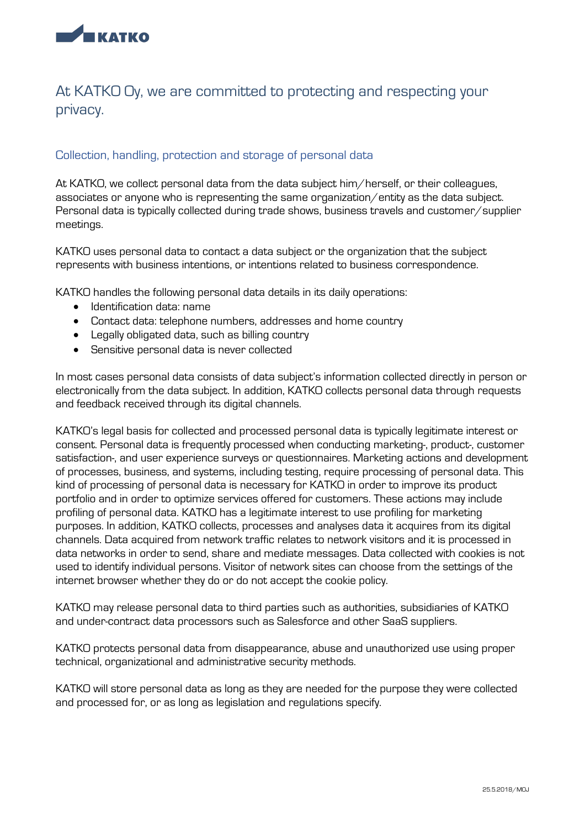

# At KATKO Oy, we are committed to protecting and respecting your privacy.

### Collection, handling, protection and storage of personal data

At KATKO, we collect personal data from the data subject him/herself, or their colleagues, associates or anyone who is representing the same organization/entity as the data subject. Personal data is typically collected during trade shows, business travels and customer/supplier meetings.

KATKO uses personal data to contact a data subject or the organization that the subject represents with business intentions, or intentions related to business correspondence.

KATKO handles the following personal data details in its daily operations:

- Identification data: name
- Contact data: telephone numbers, addresses and home country
- Legally obligated data, such as billing country
- Sensitive personal data is never collected

In most cases personal data consists of data subject's information collected directly in person or electronically from the data subject. In addition, KATKO collects personal data through requests and feedback received through its digital channels.

KATKO's legal basis for collected and processed personal data is typically legitimate interest or consent. Personal data is frequently processed when conducting marketing-, product-, customer satisfaction-, and user experience surveys or questionnaires. Marketing actions and development of processes, business, and systems, including testing, require processing of personal data. This kind of processing of personal data is necessary for KATKO in order to improve its product portfolio and in order to optimize services offered for customers. These actions may include profiling of personal data. KATKO has a legitimate interest to use profiling for marketing purposes. In addition, KATKO collects, processes and analyses data it acquires from its digital channels. Data acquired from network traffic relates to network visitors and it is processed in data networks in order to send, share and mediate messages. Data collected with cookies is not used to identify individual persons. Visitor of network sites can choose from the settings of the internet browser whether they do or do not accept the cookie policy.

KATKO may release personal data to third parties such as authorities, subsidiaries of KATKO and under-contract data processors such as Salesforce and other SaaS suppliers.

KATKO protects personal data from disappearance, abuse and unauthorized use using proper technical, organizational and administrative security methods.

KATKO will store personal data as long as they are needed for the purpose they were collected and processed for, or as long as legislation and regulations specify.